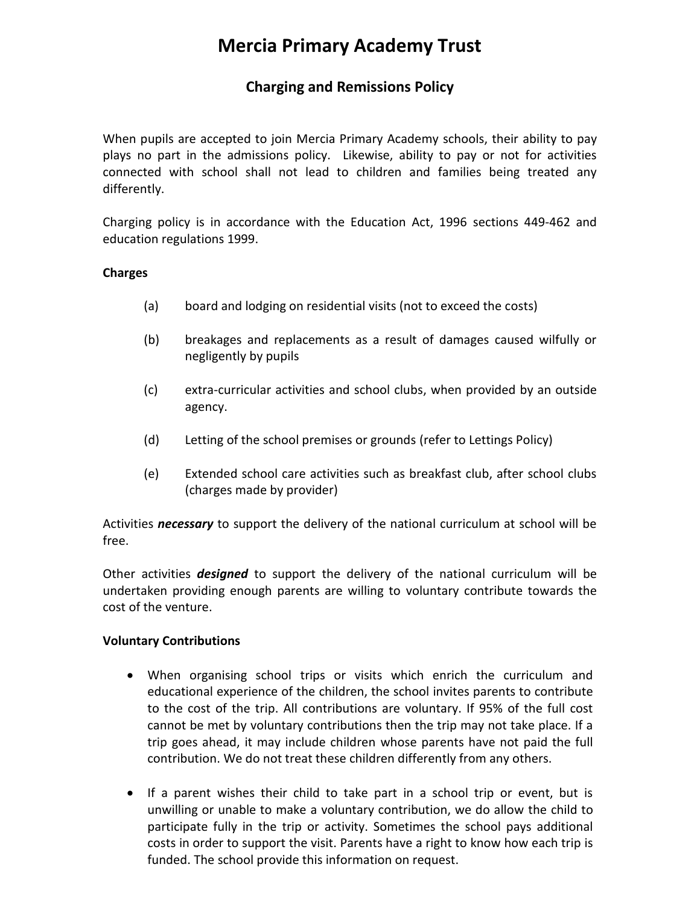# **Mercia Primary Academy Trust**

# **Charging and Remissions Policy**

When pupils are accepted to join Mercia Primary Academy schools, their ability to pay plays no part in the admissions policy. Likewise, ability to pay or not for activities connected with school shall not lead to children and families being treated any differently.

Charging policy is in accordance with the Education Act, 1996 sections 449-462 and education regulations 1999.

### **Charges**

- (a) board and lodging on residential visits (not to exceed the costs)
- (b) breakages and replacements as a result of damages caused wilfully or negligently by pupils
- (c) extra-curricular activities and school clubs, when provided by an outside agency.
- (d) Letting of the school premises or grounds (refer to Lettings Policy)
- (e) Extended school care activities such as breakfast club, after school clubs (charges made by provider)

Activities *necessary* to support the delivery of the national curriculum at school will be free.

Other activities *designed* to support the delivery of the national curriculum will be undertaken providing enough parents are willing to voluntary contribute towards the cost of the venture.

### **Voluntary Contributions**

- When organising school trips or visits which enrich the curriculum and educational experience of the children, the school invites parents to contribute to the cost of the trip. All contributions are voluntary. If 95% of the full cost cannot be met by voluntary contributions then the trip may not take place. If a trip goes ahead, it may include children whose parents have not paid the full contribution. We do not treat these children differently from any others.
- If a parent wishes their child to take part in a school trip or event, but is unwilling or unable to make a voluntary contribution, we do allow the child to participate fully in the trip or activity. Sometimes the school pays additional costs in order to support the visit. Parents have a right to know how each trip is funded. The school provide this information on request.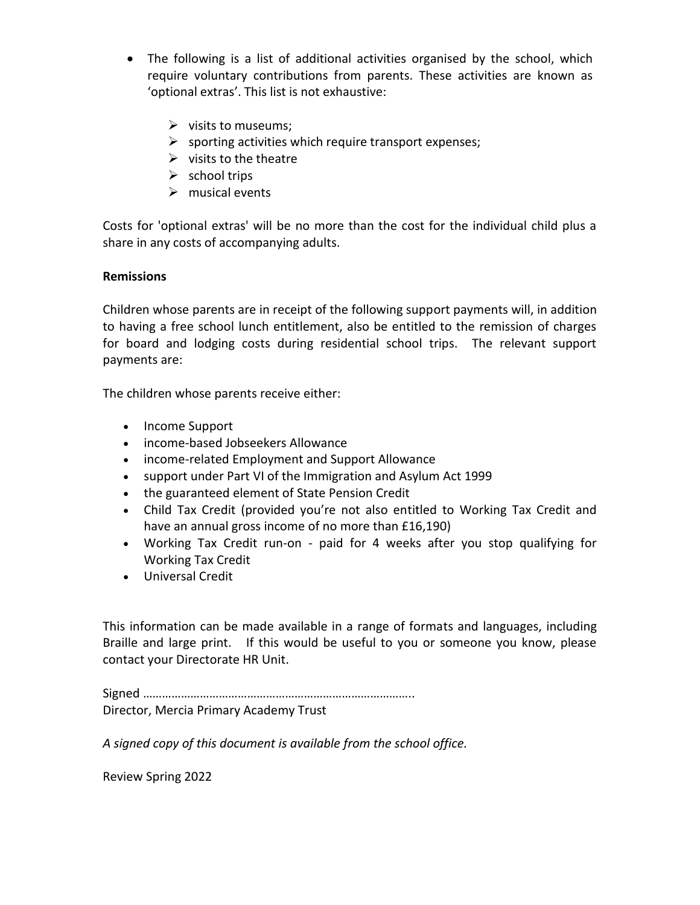- The following is a list of additional activities organised by the school, which require voluntary contributions from parents. These activities are known as 'optional extras'. This list is not exhaustive:
	- $\triangleright$  visits to museums;
	- $\triangleright$  sporting activities which require transport expenses;
	- $\triangleright$  visits to the theatre
	- $\triangleright$  school trips
	- $\triangleright$  musical events

Costs for 'optional extras' will be no more than the cost for the individual child plus a share in any costs of accompanying adults.

# **Remissions**

Children whose parents are in receipt of the following support payments will, in addition to having a free school lunch entitlement, also be entitled to the remission of charges for board and lodging costs during residential school trips. The relevant support payments are:

The children whose parents receive either:

- Income Support
- income-based Jobseekers Allowance
- income-related Employment and Support Allowance
- support under Part VI of the Immigration and Asylum Act 1999
- the guaranteed element of State Pension Credit
- Child Tax Credit (provided you're not also entitled to Working Tax Credit and have an annual gross income of no more than £16,190)
- Working Tax Credit run-on paid for 4 weeks after you stop qualifying for Working Tax Credit
- Universal Credit

This information can be made available in a range of formats and languages, including Braille and large print. If this would be useful to you or someone you know, please contact your Directorate HR Unit.

Signed ………………………………………………………………………….. Director, Mercia Primary Academy Trust

*A signed copy of this document is available from the school office.*

Review Spring 2022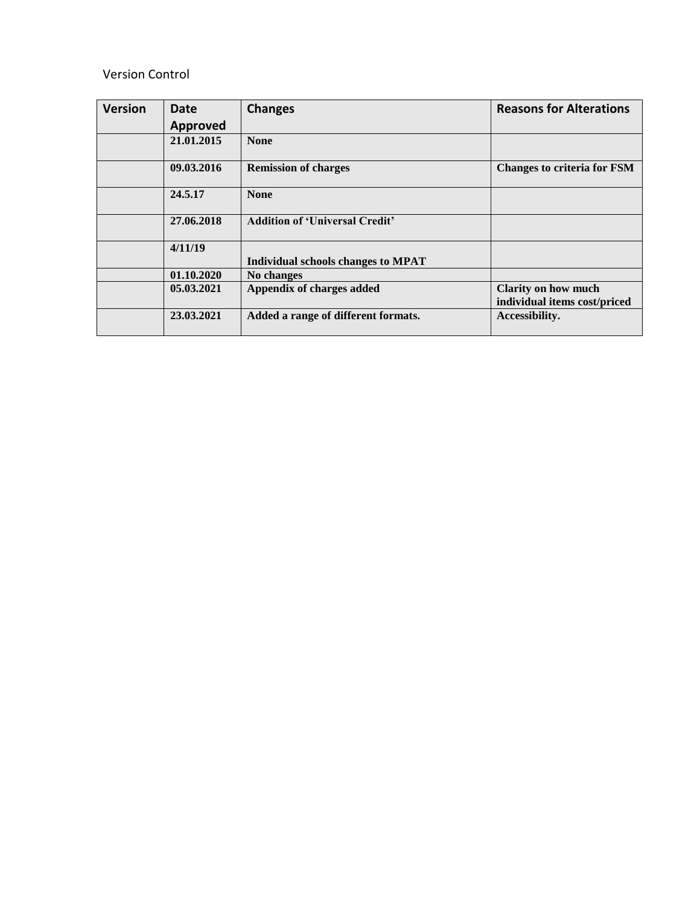## Version Control

| <b>Version</b> | Date<br>Approved | <b>Changes</b>                        | <b>Reasons for Alterations</b>                             |
|----------------|------------------|---------------------------------------|------------------------------------------------------------|
|                | 21.01.2015       | <b>None</b>                           |                                                            |
|                | 09.03.2016       | <b>Remission of charges</b>           | <b>Changes to criteria for FSM</b>                         |
|                | 24.5.17          | <b>None</b>                           |                                                            |
|                | 27.06.2018       | <b>Addition of 'Universal Credit'</b> |                                                            |
|                | 4/11/19          | Individual schools changes to MPAT    |                                                            |
|                | 01.10.2020       | No changes                            |                                                            |
|                | 05.03.2021       | Appendix of charges added             | <b>Clarity on how much</b><br>individual items cost/priced |
|                | 23.03.2021       | Added a range of different formats.   | Accessibility.                                             |